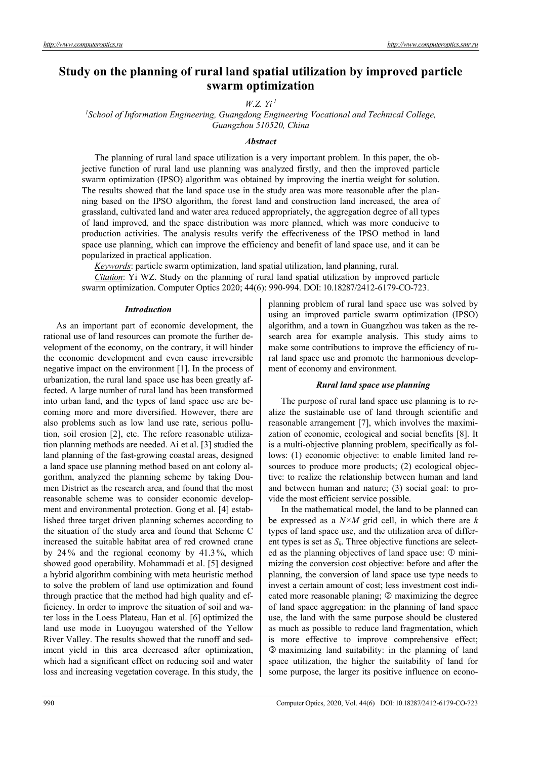# **Study on the planning of rural land spatial utilization by improved particle swarm optimization**

*W.Z. Yi 1*

<sup>1</sup> School of Information Engineering, Guangdong Engineering Vocational and Technical College, *Guangzhou 510520, China* 

## *Abstract*

The planning of rural land space utilization is a very important problem. In this paper, the objective function of rural land use planning was analyzed firstly, and then the improved particle swarm optimization (IPSO) algorithm was obtained by improving the inertia weight for solution. The results showed that the land space use in the study area was more reasonable after the planning based on the IPSO algorithm, the forest land and construction land increased, the area of grassland, cultivated land and water area reduced appropriately, the aggregation degree of all types of land improved, and the space distribution was more planned, which was more conducive to production activities. The analysis results verify the effectiveness of the IPSO method in land space use planning, which can improve the efficiency and benefit of land space use, and it can be popularized in practical application.

*Keywords*: particle swarm optimization, land spatial utilization, land planning, rural.

*Citation*: Yi WZ. Study on the planning of rural land spatial utilization by improved particle swarm optimization. Computer Optics 2020; 44(6): 990-994. DOI: 10.18287/2412-6179-CO-723.

#### *Introduction*

As an important part of economic development, the rational use of land resources can promote the further development of the economy, on the contrary, it will hinder the economic development and even cause irreversible negative impact on the environment [1]. In the process of urbanization, the rural land space use has been greatly affected. A large number of rural land has been transformed into urban land, and the types of land space use are becoming more and more diversified. However, there are also problems such as low land use rate, serious pollution, soil erosion [2], etc. The refore reasonable utilization planning methods are needed. Ai et al. [3] studied the land planning of the fast-growing coastal areas, designed a land space use planning method based on ant colony algorithm, analyzed the planning scheme by taking Doumen District as the research area, and found that the most reasonable scheme was to consider economic development and environmental protection. Gong et al. [4] established three target driven planning schemes according to the situation of the study area and found that Scheme C increased the suitable habitat area of red crowned crane by 24 % and the regional economy by 41.3 %, which showed good operability. Mohammadi et al. [5] designed a hybrid algorithm combining with meta heuristic method to solve the problem of land use optimization and found through practice that the method had high quality and efficiency. In order to improve the situation of soil and water loss in the Loess Plateau, Han et al. [6] optimized the land use mode in Luoyugou watershed of the Yellow River Valley. The results showed that the runoff and sediment yield in this area decreased after optimization, which had a significant effect on reducing soil and water loss and increasing vegetation coverage. In this study, the planning problem of rural land space use was solved by using an improved particle swarm optimization (IPSO) algorithm, and a town in Guangzhou was taken as the research area for example analysis. This study aims to make some contributions to improve the efficiency of rural land space use and promote the harmonious development of economy and environment.

## *Rural land space use planning*

The purpose of rural land space use planning is to realize the sustainable use of land through scientific and reasonable arrangement [7], which involves the maximization of economic, ecological and social benefits [8]. It is a multi-objective planning problem, specifically as follows: (1) economic objective: to enable limited land resources to produce more products; (2) ecological objective: to realize the relationship between human and land and between human and nature; (3) social goal: to provide the most efficient service possible.

In the mathematical model, the land to be planned can be expressed as a *N×M* grid cell, in which there are *k*  types of land space use, and the utilization area of different types is set as *Sk*. Three objective functions are selected as the planning objectives of land space use:  $\Phi$  minimizing the conversion cost objective: before and after the planning, the conversion of land space use type needs to invest a certain amount of cost; less investment cost indicated more reasonable planing;  $\oslash$  maximizing the degree of land space aggregation: in the planning of land space use, the land with the same purpose should be clustered as much as possible to reduce land fragmentation, which is more effective to improve comprehensive effect; maximizing land suitability: in the planning of land space utilization, the higher the suitability of land for some purpose, the larger its positive influence on econo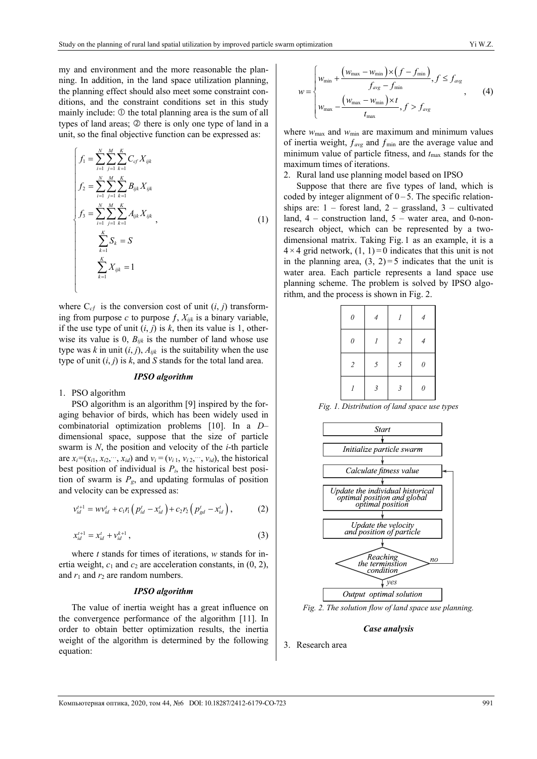my and environment and the more reasonable the planning. In addition, in the land space utilization planning, the planning effect should also meet some constraint conditions, and the constraint conditions set in this study mainly include:  $\mathbb D$  the total planning area is the sum of all types of land areas;  $\oslash$  there is only one type of land in a unit, so the final objective function can be expressed as:

$$
\begin{cases}\nf_1 = \sum_{i=1}^N \sum_{j=1}^M \sum_{k=1}^K C_{cf} X_{ijk} \\
f_2 = \sum_{i=1}^N \sum_{j=1}^M \sum_{k=1}^K B_{ijk} X_{ijk} \\
f_3 = \sum_{i=1}^N \sum_{j=1}^M \sum_{k=1}^K A_{ijk} X_{ijk} \\
&\sum_{k=1}^K S_k = S \\
&\sum_{k=1}^K X_{ijk} = 1\n\end{cases} (1)
$$

where  $C_{cf}$  is the conversion cost of unit  $(i, j)$  transforming from purpose  $c$  to purpose  $f$ ,  $X_{ijk}$  is a binary variable, if the use type of unit  $(i, j)$  is  $k$ , then its value is 1, otherwise its value is 0,  $B_{ijk}$  is the number of land whose use type was *k* in unit  $(i, j)$ ,  $A_{ijk}$  is the suitability when the use type of unit (*i*, *j*) is *k*, and *S* stands for the total land area.

#### *IPSO algorithm*

1. PSO algorithm

 $\overline{\mathcal{L}}$ 

PSO algorithm is an algorithm [9] inspired by the foraging behavior of birds, which has been widely used in combinatorial optimization problems [10]. In a *D–* dimensional space, suppose that the size of particle swarm is *N*, the position and velocity of the *i*-th particle are  $x_i = (x_{i1}, x_{i2}, \dots, x_{id})$  and  $v_i = (v_{i1}, v_{i2}, \dots, v_{id})$ , the historical best position of individual is  $P_i$ , the historical best position of swarm is  $P_g$ , and updating formulas of position and velocity can be expressed as:

$$
v_{id}^{t+1} = w v_{id}^t + c_1 r_1 \left( p_{id}^t - x_{id}^t \right) + c_2 r_2 \left( p_{gd}^t - x_{id}^t \right), \tag{2}
$$

$$
x_{id}^{t+1} = x_{id}^t + v_{id}^{k+1}, \tag{3}
$$

where *t* stands for times of iterations, *w* stands for inertia weight,  $c_1$  and  $c_2$  are acceleration constants, in  $(0, 2)$ , and  $r_1$  and  $r_2$  are random numbers.

#### *IPSO algorithm*

The value of inertia weight has a great influence on the convergence performance of the algorithm [11]. In order to obtain better optimization results, the inertia weight of the algorithm is determined by the following equation:

$$
w = \begin{cases} w_{\min} + \frac{(w_{\max} - w_{\min}) \times (f - f_{\min})}{f_{\text{avg}} - f_{\min}}, f \le f_{\text{avg}} \\ w_{\max} - \frac{(w_{\max} - w_{\min}) \times t}{t_{\max}}, f > f_{\text{avg}} \end{cases}
$$
 (4)

where  $w_{\text{max}}$  and  $w_{\text{min}}$  are maximum and minimum values of inertia weight,  $f_{avg}$  and  $f_{min}$  are the average value and minimum value of particle fitness, and  $t_{\text{max}}$  stands for the maximum times of iterations.

2. Rural land use planning model based on IPSO

Suppose that there are five types of land, which is coded by integer alignment of  $0 - 5$ . The specific relationships are:  $1$  – forest land,  $2$  – grassland,  $3$  – cultivated land,  $4$  – construction land,  $5$  – water area, and 0-nonresearch object, which can be represented by a twodimensional matrix. Taking Fig. 1 as an example, it is a  $4 \times 4$  grid network,  $(1, 1) = 0$  indicates that this unit is not in the planning area,  $(3, 2)=5$  indicates that the unit is water area. Each particle represents a land space use planning scheme. The problem is solved by IPSO algorithm, and the process is shown in Fig. 2.

| $\theta$       |               | 1              |   |  |
|----------------|---------------|----------------|---|--|
| $\theta$       |               | $\sqrt{2}$     |   |  |
| $\overline{2}$ | 5             | 5              | 0 |  |
|                | $\mathcal{E}$ | $\mathfrak{Z}$ | 0 |  |

*Fig. 1. Distribution of land space use types* 



*Fig. 2. The solution flow of land space use planning.* 

#### *Case analysis*

3. Research area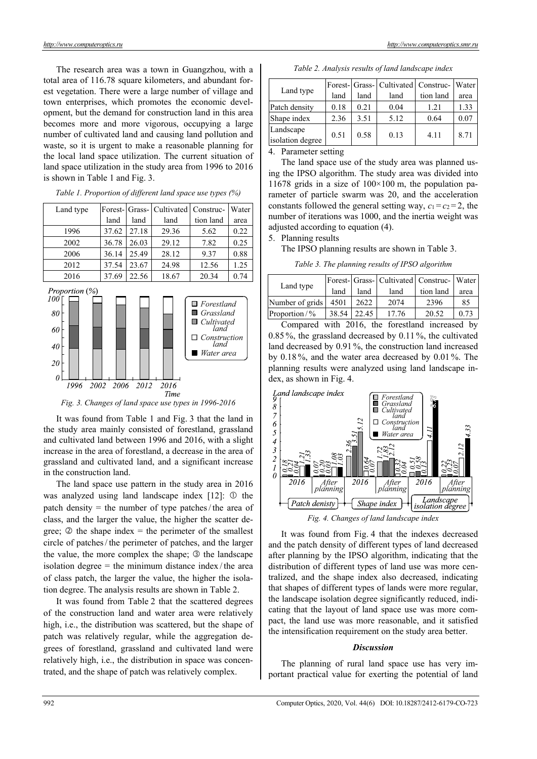The research area was a town in Guangzhou, with a total area of 116.78 square kilometers, and abundant forest vegetation. There were a large number of village and town enterprises, which promotes the economic development, but the demand for construction land in this area becomes more and more vigorous, occupying a large number of cultivated land and causing land pollution and waste, so it is urgent to make a reasonable planning for the local land space utilization. The current situation of land space utilization in the study area from 1996 to 2016 is shown in Table 1 and Fig. 3.



*Table 1. Proportion of different land space use types (%)* 



*Fig. 3. Changes of land space use types in 1996-2016* 

It was found from Table 1 and Fig. 3 that the land in the study area mainly consisted of forestland, grassland and cultivated land between 1996 and 2016, with a slight increase in the area of forestland, a decrease in the area of grassland and cultivated land, and a significant increase in the construction land.

The land space use pattern in the study area in 2016 was analyzed using land landscape index  $[12]$ :  $\odot$  the patch density  $=$  the number of type patches/the area of class, and the larger the value, the higher the scatter degree;  $\circled{2}$  the shape index = the perimeter of the smallest circle of patches/ the perimeter of patches, and the larger the value, the more complex the shape;  $\circled{ }$  the landscape isolation degree  $=$  the minimum distance index / the area of class patch, the larger the value, the higher the isolation degree. The analysis results are shown in Table 2.

It was found from Table 2 that the scattered degrees of the construction land and water area were relatively high, i.e., the distribution was scattered, but the shape of patch was relatively regular, while the aggregation degrees of forestland, grassland and cultivated land were relatively high, i.e., the distribution in space was concentrated, and the shape of patch was relatively complex.

| Land type                     |      |      | Forest- Grass- Cultivated Construc- Water |           |      |
|-------------------------------|------|------|-------------------------------------------|-----------|------|
|                               | land | land | land                                      | tion land | area |
| Patch density                 | 0.18 | 0.21 | 0.04                                      | 1.21      | 1.33 |
| Shape index                   | 2.36 | 3.51 | 5.12                                      | 0.64      | 0.07 |
| Landscape<br>isolation degree | 0.51 | 0.58 | 0.13                                      | 4.11      | 8.71 |

*Table 2. Analysis results of land landscape index* 

4. Parameter setting

The land space use of the study area was planned using the IPSO algorithm. The study area was divided into 11678 grids in a size of  $100\times100$  m, the population parameter of particle swarm was 20, and the acceleration constants followed the general setting way,  $c_1 = c_2 = 2$ , the number of iterations was 1000, and the inertia weight was adjusted according to equation (4).

# 5. Planning results

The IPSO planning results are shown in Table 3.

*Table 3. The planning results of IPSO algorithm* 

| Land type              |      |             | Forest-Grass-Cultivated Construc-Water |           |      |
|------------------------|------|-------------|----------------------------------------|-----------|------|
|                        | land | land        | land                                   | tion land | area |
| Number of grids   4501 |      | 2622        | 2074                                   | 2396      | 85   |
| Proportion/%           |      | 38.54 22.45 | 17.76                                  | 20.52     | 0.73 |

Compared with 2016, the forestland increased by 0.85 %, the grassland decreased by 0.11 %, the cultivated land decreased by 0.91 %, the construction land increased by 0.18 %, and the water area decreased by 0.01 %. The planning results were analyzed using land landscape index, as shown in Fig. 4.



*Fig. 4. Changes of land landscape index* 

It was found from Fig. 4 that the indexes decreased and the patch density of different types of land decreased after planning by the IPSO algorithm, indicating that the distribution of different types of land use was more centralized, and the shape index also decreased, indicating that shapes of different types of lands were more regular, the landscape isolation degree significantly reduced, indicating that the layout of land space use was more compact, the land use was more reasonable, and it satisfied the intensification requirement on the study area better.

# *Discussion*

The planning of rural land space use has very important practical value for exerting the potential of land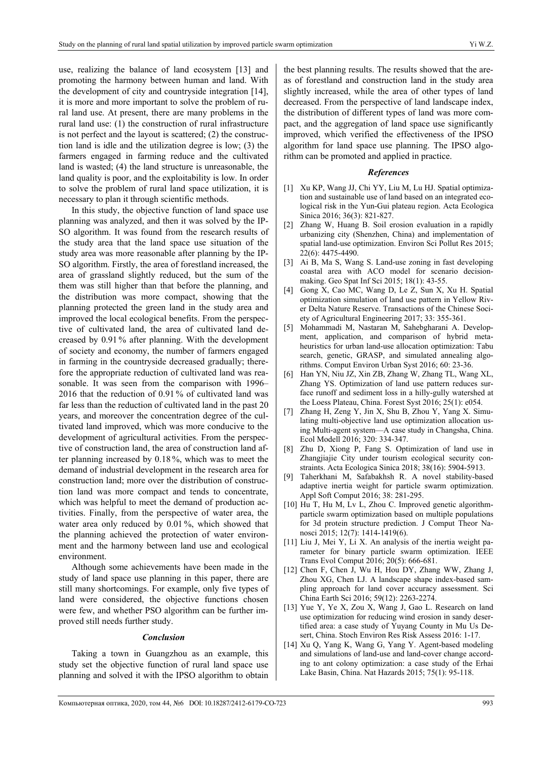use, realizing the balance of land ecosystem [13] and promoting the harmony between human and land. With the development of city and countryside integration [14], it is more and more important to solve the problem of rural land use. At present, there are many problems in the rural land use: (1) the construction of rural infrastructure is not perfect and the layout is scattered; (2) the construction land is idle and the utilization degree is low; (3) the farmers engaged in farming reduce and the cultivated land is wasted; (4) the land structure is unreasonable, the land quality is poor, and the exploitability is low. In order to solve the problem of rural land space utilization, it is necessary to plan it through scientific methods.

In this study, the objective function of land space use planning was analyzed, and then it was solved by the IP-SO algorithm. It was found from the research results of the study area that the land space use situation of the study area was more reasonable after planning by the IP-SO algorithm. Firstly, the area of forestland increased, the area of grassland slightly reduced, but the sum of the them was still higher than that before the planning, and the distribution was more compact, showing that the planning protected the green land in the study area and improved the local ecological benefits. From the perspective of cultivated land, the area of cultivated land decreased by 0.91 % after planning. With the development of society and economy, the number of farmers engaged in farming in the countryside decreased gradually; therefore the appropriate reduction of cultivated land was reasonable. It was seen from the comparison with 1996– 2016 that the reduction of 0.91 % of cultivated land was far less than the reduction of cultivated land in the past 20 years, and moreover the concentration degree of the cultivated land improved, which was more conducive to the development of agricultural activities. From the perspective of construction land, the area of construction land after planning increased by 0.18 %, which was to meet the demand of industrial development in the research area for construction land; more over the distribution of construction land was more compact and tends to concentrate, which was helpful to meet the demand of production activities. Finally, from the perspective of water area, the water area only reduced by 0.01 %, which showed that the planning achieved the protection of water environment and the harmony between land use and ecological environment.

Although some achievements have been made in the study of land space use planning in this paper, there are still many shortcomings. For example, only five types of land were considered, the objective functions chosen were few, and whether PSO algorithm can be further improved still needs further study.

## *Conclusion*

Taking a town in Guangzhou as an example, this study set the objective function of rural land space use planning and solved it with the IPSO algorithm to obtain the best planning results. The results showed that the areas of forestland and construction land in the study area slightly increased, while the area of other types of land decreased. From the perspective of land landscape index, the distribution of different types of land was more compact, and the aggregation of land space use significantly improved, which verified the effectiveness of the IPSO algorithm for land space use planning. The IPSO algorithm can be promoted and applied in practice.

## *References*

- [1] Xu KP, Wang JJ, Chi YY, Liu M, Lu HJ. Spatial optimization and sustainable use of land based on an integrated ecological risk in the Yun-Gui plateau region. Acta Ecologica Sinica 2016; 36(3): 821-827.
- [2] Zhang W, Huang B. Soil erosion evaluation in a rapidly urbanizing city (Shenzhen, China) and implementation of spatial land-use optimization. Environ Sci Pollut Res 2015; 22(6): 4475-4490.
- [3] Ai B, Ma S, Wang S. Land-use zoning in fast developing coastal area with ACO model for scenario decisionmaking. Geo Spat Inf Sci 2015; 18(1): 43-55.
- [4] Gong X, Cao MC, Wang D, Le Z, Sun X, Xu H. Spatial optimization simulation of land use pattern in Yellow River Delta Nature Reserve. Transactions of the Chinese Society of Agricultural Engineering 2017; 33: 355-361.
- [5] Mohammadi M, Nastaran M, Sahebgharani A. Development, application, and comparison of hybrid metaheuristics for urban land-use allocation optimization: Tabu search, genetic, GRASP, and simulated annealing algorithms. Comput Environ Urban Syst 2016; 60: 23-36.
- [6] Han YN, Niu JZ, Xin ZB, Zhang W, Zhang TL, Wang XL, Zhang YS. Optimization of land use pattern reduces surface runoff and sediment loss in a hilly-gully watershed at the Loess Plateau, China. Forest Syst 2016; 25(1): e054.
- Zhang H, Zeng Y, Jin X, Shu B, Zhou Y, Yang X. Simulating multi-objective land use optimization allocation using Multi-agent system—A case study in Changsha, China. Ecol Modell 2016; 320: 334-347.
- [8] Zhu D, Xiong P, Fang S. Optimization of land use in Zhangjiajie City under tourism ecological security constraints. Acta Ecologica Sinica 2018; 38(16): 5904-5913.
- [9] Taherkhani M, Safabakhsh R. A novel stability-based adaptive inertia weight for particle swarm optimization. Appl Soft Comput 2016; 38: 281-295.
- [10] Hu T, Hu M, Lv L, Zhou C. Improved genetic algorithmparticle swarm optimization based on multiple populations for 3d protein structure prediction. J Comput Theor Nanosci 2015; 12(7): 1414-1419(6).
- [11] Liu J, Mei Y, Li X. An analysis of the inertia weight parameter for binary particle swarm optimization. IEEE Trans Evol Comput 2016; 20(5): 666-681.
- [12] Chen F, Chen J, Wu H, Hou DY, Zhang WW, Zhang J, Zhou XG, Chen LJ. A landscape shape index-based sampling approach for land cover accuracy assessment. Sci China Earth Sci 2016; 59(12): 2263-2274.
- [13] Yue Y, Ye X, Zou X, Wang J, Gao L. Research on land use optimization for reducing wind erosion in sandy desertified area: a case study of Yuyang County in Mu Us Desert, China. Stoch Environ Res Risk Assess 2016: 1-17.
- [14] Xu Q, Yang K, Wang G, Yang Y. Agent-based modeling and simulations of land-use and land-cover change according to ant colony optimization: a case study of the Erhai Lake Basin, China. Nat Hazards 2015; 75(1): 95-118.